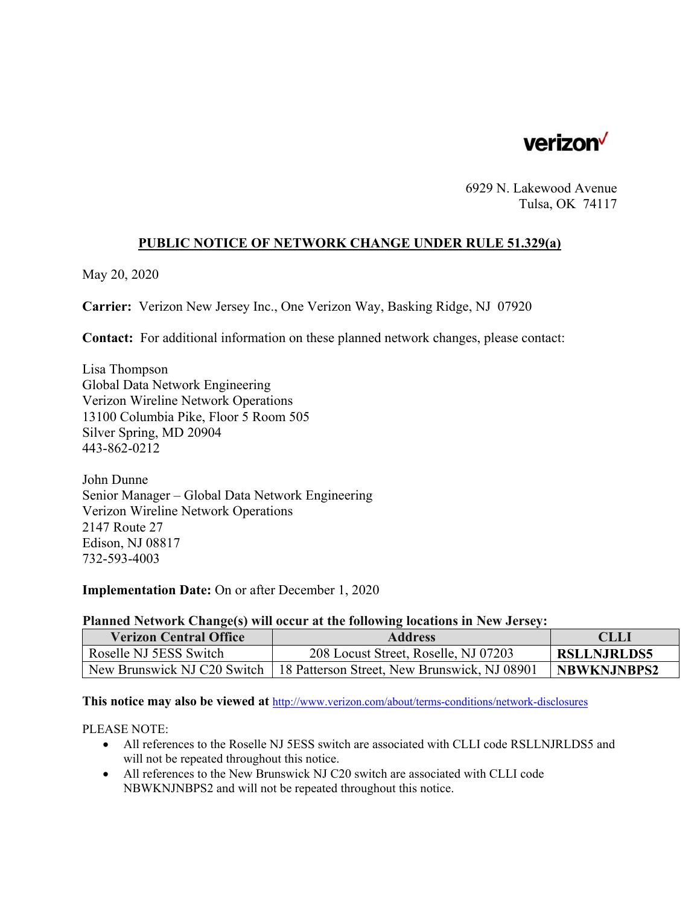

6929 N. Lakewood Avenue Tulsa, OK 74117

## **PUBLIC NOTICE OF NETWORK CHANGE UNDER RULE 51.329(a)**

May 20, 2020

**Carrier:** Verizon New Jersey Inc., One Verizon Way, Basking Ridge, NJ 07920

**Contact:** For additional information on these planned network changes, please contact:

Lisa Thompson Global Data Network Engineering Verizon Wireline Network Operations 13100 Columbia Pike, Floor 5 Room 505 Silver Spring, MD 20904 443-862-0212

John Dunne Senior Manager – Global Data Network Engineering Verizon Wireline Network Operations 2147 Route 27 Edison, NJ 08817 732-593-4003

**Implementation Date:** On or after December 1, 2020

## **Planned Network Change(s) will occur at the following locations in New Jersey:**

| <b>Verizon Central Office</b> | <b>Address</b>                                                             | <b>CLLI</b>        |
|-------------------------------|----------------------------------------------------------------------------|--------------------|
| Roselle NJ 5ESS Switch        | 208 Locust Street, Roselle, NJ 07203                                       | <b>RSLLNJRLDS5</b> |
|                               | New Brunswick NJ C20 Switch   18 Patterson Street, New Brunswick, NJ 08901 | <b>NBWKNJNBPS2</b> |

**This notice may also be viewed at** http://www.verizon.com/about/terms-conditions/network-disclosures

PLEASE NOTE:

- All references to the Roselle NJ 5ESS switch are associated with CLLI code RSLLNJRLDS5 and will not be repeated throughout this notice.
- All references to the New Brunswick NJ C20 switch are associated with CLLI code NBWKNJNBPS2 and will not be repeated throughout this notice.